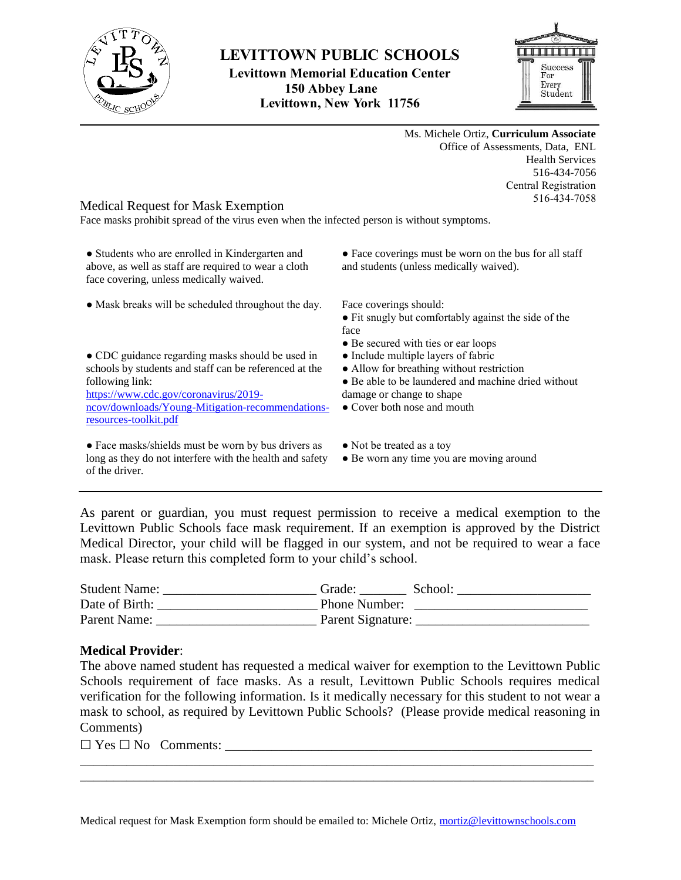

## **LEVITTOWN PUBLIC SCHOOLS**

**Levittown Memorial Education Center 150 Abbey Lane Levittown, New York 11756**



Ms. Michele Ortiz, **Curriculum Associate** Office of Assessments, Data, ENL Health Services 516-434-7056 Central Registration 516-434-7058

## Medical Request for Mask Exemption

Face masks prohibit spread of the virus even when the infected person is without symptoms.

• Students who are enrolled in Kindergarten and above, as well as staff are required to wear a cloth face covering, unless medically waived.

• Mask breaks will be scheduled throughout the day. Face coverings should:

• CDC guidance regarding masks should be used in schools by students and staff can be referenced at the following link:

[https://www.cdc.gov/coronavirus/2019](https://www.cdc.gov/coronavirus/2019-ncov/downloads/Young-Mitigation-recommendations-resources-toolkit.pdf) [ncov/downloads/Young-Mitigation-recommendations](https://www.cdc.gov/coronavirus/2019-ncov/downloads/Young-Mitigation-recommendations-resources-toolkit.pdf)[resources-toolkit.pdf](https://www.cdc.gov/coronavirus/2019-ncov/downloads/Young-Mitigation-recommendations-resources-toolkit.pdf)

• Face masks/shields must be worn by bus drivers as long as they do not interfere with the health and safety of the driver.

• Face coverings must be worn on the bus for all staff and students (unless medically waived).

- Fit snugly but comfortably against the side of the face
- Be secured with ties or ear loops
- Include multiple layers of fabric
- Allow for breathing without restriction
- Be able to be laundered and machine dried without damage or change to shape
- Cover both nose and mouth
- Not be treated as a toy
- Be worn any time you are moving around

As parent or guardian, you must request permission to receive a medical exemption to the Levittown Public Schools face mask requirement. If an exemption is approved by the District Medical Director, your child will be flagged in our system, and not be required to wear a face mask. Please return this completed form to your child's school.

| <b>Student Name:</b> | Grade:            | School: |
|----------------------|-------------------|---------|
| Date of Birth:       | Phone Number:     |         |
| Parent Name:         | Parent Signature: |         |

## **Medical Provider**:

The above named student has requested a medical waiver for exemption to the Levittown Public Schools requirement of face masks. As a result, Levittown Public Schools requires medical verification for the following information. Is it medically necessary for this student to not wear a mask to school, as required by Levittown Public Schools? (Please provide medical reasoning in Comments)

\_\_\_\_\_\_\_\_\_\_\_\_\_\_\_\_\_\_\_\_\_\_\_\_\_\_\_\_\_\_\_\_\_\_\_\_\_\_\_\_\_\_\_\_\_\_\_\_\_\_\_\_\_\_\_\_\_\_\_\_\_\_\_\_\_\_\_\_\_\_\_\_\_\_\_\_\_ \_\_\_\_\_\_\_\_\_\_\_\_\_\_\_\_\_\_\_\_\_\_\_\_\_\_\_\_\_\_\_\_\_\_\_\_\_\_\_\_\_\_\_\_\_\_\_\_\_\_\_\_\_\_\_\_\_\_\_\_\_\_\_\_\_\_\_\_\_\_\_\_\_\_\_\_\_

 $\square$  Yes  $\square$  No Comments: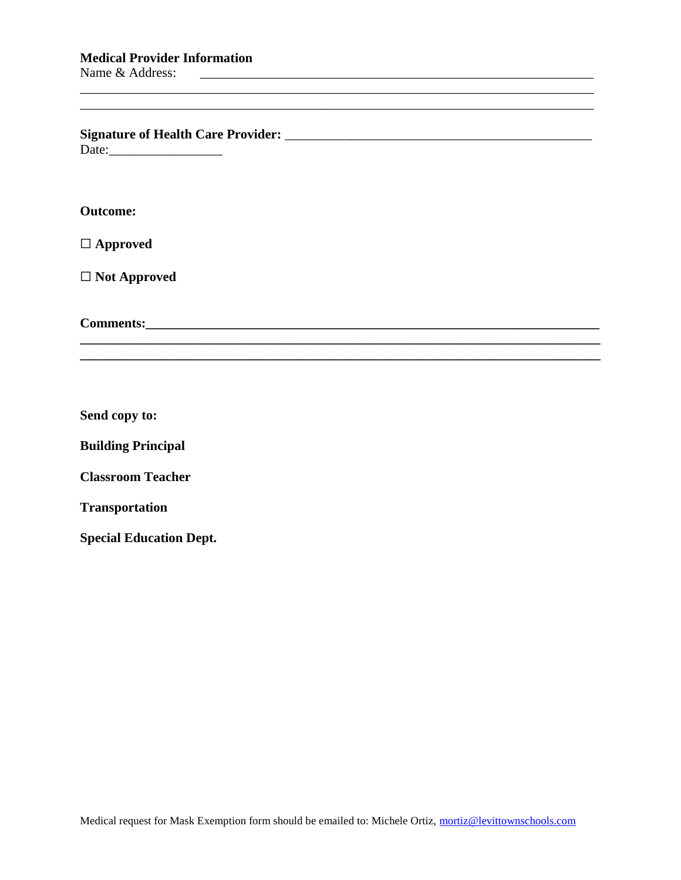| <b>Signature of Health Care Provider:</b> |  |
|-------------------------------------------|--|
| Date:                                     |  |

## **Outcome:**

☐ **Approved**

☐ **Not Approved**

**Comments:** 

**Send copy to:**

**Building Principal**

**Classroom Teacher**

**Transportation**

**Special Education Dept.**

\_\_\_\_\_\_\_\_\_\_\_\_\_\_\_\_\_\_\_\_\_\_\_\_\_\_\_\_\_\_\_\_\_\_\_\_\_\_\_\_\_\_\_\_\_\_\_\_\_\_\_\_\_\_\_\_\_\_\_\_\_\_\_\_\_\_\_\_\_\_\_\_\_\_\_\_\_

\_\_\_\_\_\_\_\_\_\_\_\_\_\_\_\_\_\_\_\_\_\_\_\_\_\_\_\_\_\_\_\_\_\_\_\_\_\_\_\_\_\_\_\_\_\_\_\_\_\_\_\_\_\_\_\_\_\_\_\_\_\_\_\_\_\_\_\_\_\_\_\_\_\_\_\_\_

**\_\_\_\_\_\_\_\_\_\_\_\_\_\_\_\_\_\_\_\_\_\_\_\_\_\_\_\_\_\_\_\_\_\_\_\_\_\_\_\_\_\_\_\_\_\_\_\_\_\_\_\_\_\_\_\_\_\_\_\_\_\_\_\_\_\_\_\_\_\_\_\_\_\_\_\_\_\_**